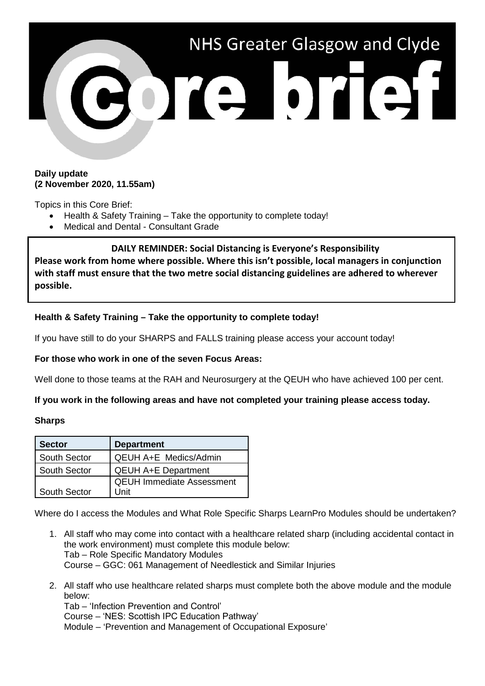

### **Daily update (2 November 2020, 11.55am)**

Topics in this Core Brief:

- Health & Safety Training Take the opportunity to complete today!
- Medical and Dental Consultant Grade

**DAILY REMINDER: Social Distancing is Everyone's Responsibility Please work from home where possible. Where this isn't possible, local managers in conjunction with staff must ensure that the two metre social distancing guidelines are adhered to wherever possible.**

# **Health & Safety Training – Take the opportunity to complete today!**

If you have still to do your SHARPS and FALLS training please access your account today!

## **For those who work in one of the seven Focus Areas:**

Well done to those teams at the RAH and Neurosurgery at the QEUH who have achieved 100 per cent.

## **If you work in the following areas and have not completed your training please access today.**

### **Sharps**

| <b>Sector</b>       | <b>Department</b>                |
|---------------------|----------------------------------|
| <b>South Sector</b> | <b>QEUH A+E Medics/Admin</b>     |
| <b>South Sector</b> | <b>QEUH A+E Department</b>       |
|                     | <b>QEUH Immediate Assessment</b> |
| <b>South Sector</b> | l Jnit                           |

Where do I access the Modules and What Role Specific Sharps LearnPro Modules should be undertaken?

- 1. All staff who may come into contact with a healthcare related sharp (including accidental contact in the work environment) must complete this module below: Tab – Role Specific Mandatory Modules Course – GGC: 061 Management of Needlestick and Similar Injuries
- 2. All staff who use healthcare related sharps must complete both the above module and the module below:

Tab – 'Infection Prevention and Control'  Course – 'NES: Scottish IPC Education Pathway'  Module – 'Prevention and Management of Occupational Exposure'